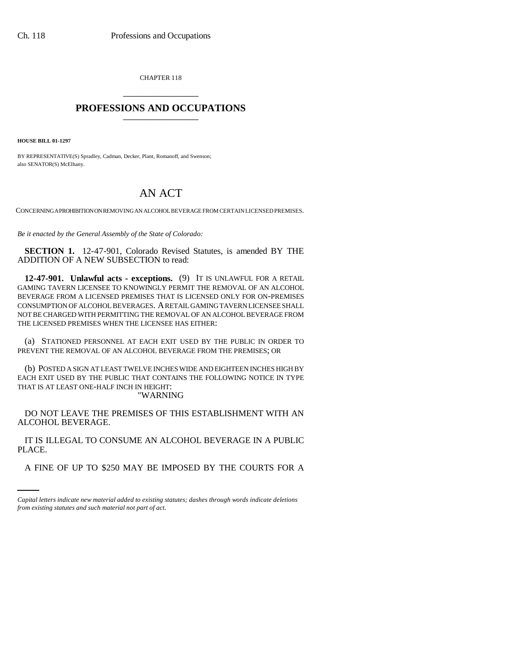CHAPTER 118 \_\_\_\_\_\_\_\_\_\_\_\_\_\_\_

## **PROFESSIONS AND OCCUPATIONS** \_\_\_\_\_\_\_\_\_\_\_\_\_\_\_

**HOUSE BILL 01-1297**

BY REPRESENTATIVE(S) Spradley, Cadman, Decker, Plant, Romanoff, and Swenson; also SENATOR(S) McElhany.

## AN ACT

CONCERNING A PROHIBITION ON REMOVING AN ALCOHOL BEVERAGE FROM CERTAIN LICENSED PREMISES.

*Be it enacted by the General Assembly of the State of Colorado:*

**SECTION 1.** 12-47-901, Colorado Revised Statutes, is amended BY THE ADDITION OF A NEW SUBSECTION to read:

**12-47-901. Unlawful acts - exceptions.** (9) IT IS UNLAWFUL FOR A RETAIL GAMING TAVERN LICENSEE TO KNOWINGLY PERMIT THE REMOVAL OF AN ALCOHOL BEVERAGE FROM A LICENSED PREMISES THAT IS LICENSED ONLY FOR ON-PREMISES CONSUMPTION OF ALCOHOL BEVERAGES. A RETAIL GAMING TAVERN LICENSEE SHALL NOT BE CHARGED WITH PERMITTING THE REMOVAL OF AN ALCOHOL BEVERAGE FROM THE LICENSED PREMISES WHEN THE LICENSEE HAS EITHER:

(a) STATIONED PERSONNEL AT EACH EXIT USED BY THE PUBLIC IN ORDER TO PREVENT THE REMOVAL OF AN ALCOHOL BEVERAGE FROM THE PREMISES; OR

(b) POSTED A SIGN AT LEAST TWELVE INCHES WIDE AND EIGHTEEN INCHES HIGH BY EACH EXIT USED BY THE PUBLIC THAT CONTAINS THE FOLLOWING NOTICE IN TYPE THAT IS AT LEAST ONE-HALF INCH IN HEIGHT: "WARNING

DO NOT LEAVE THE PREMISES OF THIS ESTABLISHMENT WITH AN ALCOHOL BEVERAGE.

PLACE. IT IS ILLEGAL TO CONSUME AN ALCOHOL BEVERAGE IN A PUBLIC

A FINE OF UP TO \$250 MAY BE IMPOSED BY THE COURTS FOR A

*Capital letters indicate new material added to existing statutes; dashes through words indicate deletions from existing statutes and such material not part of act.*